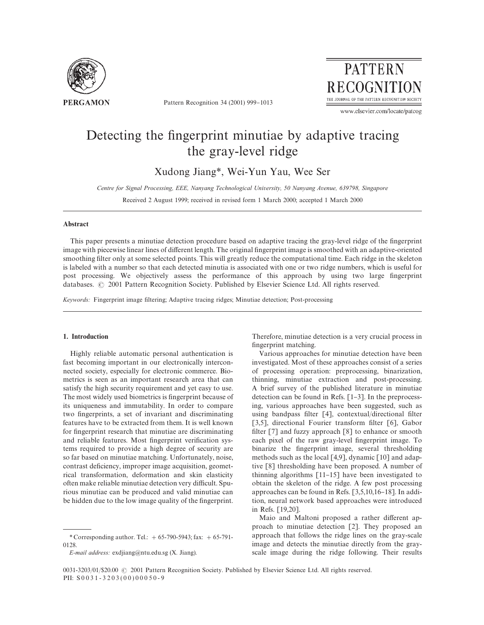

Pattern Recognition 34 (2001) 999-1013



www.elsevier.com/locate/patcog

# Detecting the fingerprint minutiae by adaptive tracing the gray-level ridge

Xudong Jiang\*, Wei-Yun Yau, Wee Ser

*Centre for Signal Processing, EEE, Nanyang Technological Uni*v*ersity, 50 Nanyang A*v*enue, 639798, Singapore*

Received 2 August 1999; received in revised form 1 March 2000; accepted 1 March 2000

## Abstract

This paper presents a minutiae detection procedure based on adaptive tracing the gray-level ridge of the fingerprint image with piecewise linear lines of different length. The original fingerprint image is smoothed with an adaptive-oriented smoothing filter only at some selected points. This will greatly reduce the computational time. Each ridge in the skeleton is labeled with a number so that each detected minutia is associated with one or two ridge numbers, which is useful for post processing. We objectively assess the performance of this approach by using two large "ngerprint databases. © 2001 Pattern Recognition Society. Published by Elsevier Science Ltd. All rights reserved.

Keywords: Fingerprint image filtering; Adaptive tracing ridges; Minutiae detection; Post-processing

#### 1. Introduction

Highly reliable automatic personal authentication is fast becoming important in our electronically interconnected society, especially for electronic commerce. Biometrics is seen as an important research area that can satisfy the high security requirement and yet easy to use. The most widely used biometrics is fingerprint because of its uniqueness and immutability. In order to compare two fingerprints, a set of invariant and discriminating features have to be extracted from them. It is well known for fingerprint research that minutiae are discriminating and reliable features. Most fingerprint verification systems required to provide a high degree of security are so far based on minutiae matching. Unfortunately, noise, contrast deficiency, improper image acquisition, geometrical transformation, deformation and skin elasticity often make reliable minutiae detection very difficult. Spurious minutiae can be produced and valid minutiae can be hidden due to the low image quality of the fingerprint.

*E-mail address:* exdjiang@ntu.edu.sg (X. Jiang).

Therefore, minutiae detection is a very crucial process in fingerprint matching.

Various approaches for minutiae detection have been investigated. Most of these approaches consist of a series of processing operation: preprocessing, binarization, thinning, minutiae extraction and post-processing. A brief survey of the published literature in minutiae detection can be found in Refs.  $[1-3]$ . In the preprocessing, various approaches have been suggested, such as using bandpass filter  $\lceil 4 \rceil$ , contextual/directional filter [3,5], directional Fourier transform filter [6], Gabor filter  $[7]$  and fuzzy approach  $[8]$  to enhance or smooth each pixel of the raw gray-level fingerprint image. To binarize the fingerprint image, several thresholding methods such as the local [4,9], dynamic [10] and adaptive [8] thresholding have been proposed. A number of thinning algorithms  $\lceil 11-15 \rceil$  have been investigated to obtain the skeleton of the ridge. A few post processing approaches can be found in Refs. [3,5,10,16-18]. In addition, neural network based approaches were introduced in Refs. [19,20].

Maio and Maltoni proposed a rather different approach to minutiae detection [2]. They proposed an approach that follows the ridge lines on the gray-scale image and detects the minutiae directly from the grayscale image during the ridge following. Their results

<sup>\*</sup> Corresponding author. Tel.:  $+ 65-790-5943$ ; fax:  $+ 65-791-$ 0128.

<sup>0031-3203/01/\$20.00 © 2001</sup> Pattern Recognition Society. Published by Elsevier Science Ltd. All rights reserved. PII: S 0 0 3 1 - 3 2 0 3 ( 0 0 ) 0 0 0 5 0 - 9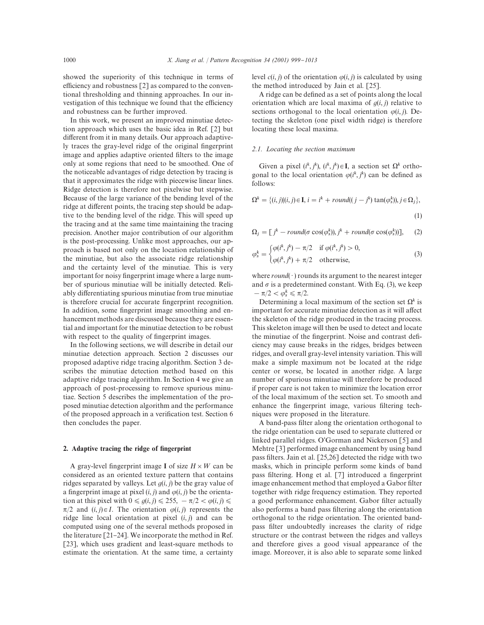showed the superiority of this technique in terms of efficiency and robustness  $[2]$  as compared to the conventional thresholding and thinning approaches. In our investigation of this technique we found that the efficiency and robustness can be further improved.

In this work, we present an improved minutiae detection approach which uses the basic idea in Ref. [2] but different from it in many details. Our approach adaptively traces the gray-level ridge of the original fingerprint image and applies adaptive oriented filters to the image only at some regions that need to be smoothed. One of the noticeable advantages of ridge detection by tracing is that it approximates the ridge with piecewise linear lines. Ridge detection is therefore not pixelwise but stepwise. Because of the large variance of the bending level of the ridge at different points, the tracing step should be adaptive to the bending level of the ridge. This will speed up the tracing and at the same time maintaining the tracing precision. Another major contribution of our algorithm is the post-processing. Unlike most approaches, our approach is based not only on the location relationship of the minutiae, but also the associate ridge relationship and the certainty level of the minutiae. This is very important for noisy fingerprint image where a large number of spurious minutiae will be initially detected. Reliably differentiating spurious minutiae from true minutiae is therefore crucial for accurate fingerprint recognition. In addition, some fingerprint image smoothing and enhancement methods are discussed because they are essential and important for the minutiae detection to be robust with respect to the quality of fingerprint images.

In the following sections, we will describe in detail our minutiae detection approach. Section 2 discusses our proposed adaptive ridge tracing algorithm. Section 3 describes the minutiae detection method based on this adaptive ridge tracing algorithm. In Section 4 we give an approach of post-processing to remove spurious minutiae. Section 5 describes the implementation of the proposed minutiae detection algorithm and the performance of the proposed approach in a verification test. Section 6 then concludes the paper.

# 2. Adaptive tracing the ridge of fingerprint

A gray-level fingerprint image I of size  $H \times W$  can be considered as an oriented texture pattern that contains ridges separated by valleys. Let  $q(i, j)$  be the gray value of a fingerprint image at pixel  $(i, j)$  and  $\varphi(i, j)$  be the orientation at this pixel with  $0 \le g(i, j) \le 255$ ,  $-\pi/2 < \varphi(i, j) \le$  $\pi/2$  and  $(i, j) \in I$ . The orientation  $\varphi(i, j)$  represents the ridge line local orientation at pixel  $(i, j)$  and can be computed using one of the several methods proposed in the literature  $\lceil 21-24 \rceil$ . We incorporate the method in Ref. [23], which uses gradient and least-square methods to estimate the orientation. At the same time, a certainty

level  $c(i, j)$  of the orientation  $\varphi(i, j)$  is calculated by using the method introduced by Jain et al. [25].

A ridge can be defined as a set of points along the local orientation which are local maxima of  $g(i, j)$  relative to sections orthogonal to the local orientation  $\varphi(i, j)$ . Detecting the skeleton (one pixel width ridge) is therefore locating these local maxima.

#### *2.1. Locating the section maximum*

Given a pixel  $(i^k, j^k)$ ,  $(i^k, j^k) \in I$ , a section set  $\Omega^k$  orthogonal to the local orientation  $\varphi(i^k, j^k)$  can be defined as follows:

$$
\Omega^k = \{(i,j)|(i,j) \in \mathbf{I}, i = i^k + round((j-j^k) \tan(\varphi_s^k)), j \in \Omega_j\},\
$$
\n(1)

$$
\Omega_j = [j^k - round(\sigma \cos(\varphi_s^k)), j^k + round(\sigma \cos(\varphi_s^k))], \quad (2)
$$

$$
\varphi_s^k = \begin{cases} \varphi(i^k, j^k) - \pi/2 & \text{if } \varphi(i^k, j^k) > 0, \\ \varphi(i^k, j^k) + \pi/2 & \text{otherwise,} \end{cases}
$$
(3)

where  $round(\cdot)$  rounds its argument to the nearest integer and  $\sigma$  is a predetermined constant. With Eq. (3), we keep  $-\pi/2 < \varphi_s^k \leqslant \pi/2.$ 

Determining a local maximum of the section set  $\Omega^k$  is important for accurate minutiae detection as it will affect the skeleton of the ridge produced in the tracing process. This skeleton image will then be used to detect and locate the minutiae of the fingerprint. Noise and contrast deficiency may cause breaks in the ridges, bridges between ridges, and overall gray-level intensity variation. This will make a simple maximum not be located at the ridge center or worse, be located in another ridge. A large number of spurious minutiae will therefore be produced if proper care is not taken to minimize the location error of the local maximum of the section set. To smooth and enhance the fingerprint image, various filtering techniques were proposed in the literature.

A band-pass filter along the orientation orthogonal to the ridge orientation can be used to separate cluttered or linked parallel ridges. O'Gorman and Nickerson [5] and Mehtre [3] performed image enhancement by using band pass filters. Jain et al.  $[25,26]$  detected the ridge with two masks, which in principle perform some kinds of band pass filtering. Hong et al. [7] introduced a fingerprint image enhancement method that employed a Gabor filter together with ridge frequency estimation. They reported a good performance enhancement. Gabor filter actually also performs a band pass filtering along the orientation orthogonal to the ridge orientation. The oriented bandpass filter undoubtedly increases the clarity of ridge structure or the contrast between the ridges and valleys and therefore gives a good visual appearance of the image. Moreover, it is also able to separate some linked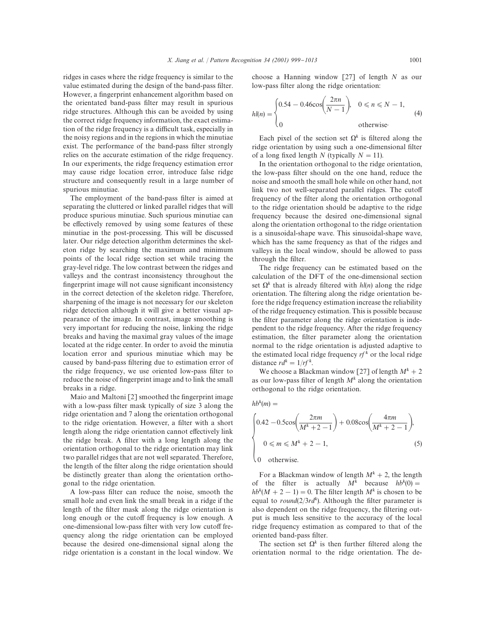ridges in cases where the ridge frequency is similar to the value estimated during the design of the band-pass filter. However, a fingerprint enhancement algorithm based on the orientated band-pass filter may result in spurious ridge structures. Although this can be avoided by using the correct ridge frequency information, the exact estimation of the ridge frequency is a difficult task, especially in the noisy regions and in the regions in which the minutiae exist. The performance of the band-pass filter strongly relies on the accurate estimation of the ridge frequency. In our experiments, the ridge frequency estimation error may cause ridge location error, introduce false ridge structure and consequently result in a large number of spurious minutiae.

The employment of the band-pass filter is aimed at separating the cluttered or linked parallel ridges that will produce spurious minutiae. Such spurious minutiae can be effectively removed by using some features of these minutiae in the post-processing. This will be discussed later. Our ridge detection algorithm determines the skeleton ridge by searching the maximum and minimum points of the local ridge section set while tracing the gray-level ridge. The low contrast between the ridges and valleys and the contrast inconsistency throughout the fingerprint image will not cause significant inconsistency in the correct detection of the skeleton ridge. Therefore, sharpening of the image is not necessary for our skeleton ridge detection although it will give a better visual appearance of the image. In contrast, image smoothing is very important for reducing the noise, linking the ridge breaks and having the maximal gray values of the image located at the ridge center. In order to avoid the minutia location error and spurious minutiae which may be caused by band-pass filtering due to estimation error of the ridge frequency, we use oriented low-pass filter to reduce the noise of fingerprint image and to link the small breaks in a ridge.

Maio and Maltoni  $[2]$  smoothed the fingerprint image with a low-pass filter mask typically of size 3 along the ridge orientation and 7 along the orientation orthogonal to the ridge orientation. However, a filter with a short length along the ridge orientation cannot effectively link the ridge break. A filter with a long length along the orientation orthogonal to the ridge orientation may link two parallel ridges that are not well separated. Therefore, the length of the filter along the ridge orientation should be distinctly greater than along the orientation orthogonal to the ridge orientation.

A low-pass filter can reduce the noise, smooth the small hole and even link the small break in a ridge if the length of the filter mask along the ridge orientation is long enough or the cutoff frequency is low enough. A one-dimensional low-pass filter with very low cutoff frequency along the ridge orientation can be employed because the desired one-dimensional signal along the ridge orientation is a constant in the local window. We choose a Hanning window  $\lceil 27 \rceil$  of length N as our low-pass filter along the ridge orientation:

$$
hl(n) = \begin{cases} 0.54 - 0.46 \cos\left(\frac{2\pi n}{N - 1}\right), & 0 \le n \le N - 1, \\ 0 & \text{otherwise.} \end{cases}
$$
 (4)

Each pixel of the section set  $\Omega^k$  is filtered along the ridge orientation by using such a one-dimensional filter of a long fixed length N (typically  $N = 11$ ).

In the orientation orthogonal to the ridge orientation, the low-pass filter should on the one hand, reduce the noise and smooth the small hole while on other hand, not link two not well-separated parallel ridges. The cutoff frequency of the filter along the orientation orthogonal to the ridge orientation should be adaptive to the ridge frequency because the desired one-dimensional signal along the orientation orthogonal to the ridge orientation is a sinusoidal-shape wave. This sinusoidal-shape wave, which has the same frequency as that of the ridges and valleys in the local window, should be allowed to pass through the filter.

The ridge frequency can be estimated based on the calculation of the DFT of the one-dimensional section set  $\Omega^k$  that is already filtered with  $hl(n)$  along the ridge orientation. The filtering along the ridge orientation before the ridge frequency estimation increase the reliability of the ridge frequency estimation. This is possible because the filter parameter along the ridge orientation is independent to the ridge frequency. After the ridge frequency estimation, the filter parameter along the orientation normal to the ridge orientation is adjusted adaptive to the estimated local ridge frequency  $rf^k$  or the local ridge distance  $rd^k = 1/rf^k$ .

We choose a Blackman window [27] of length  $M^k + 2$ as our low-pass filter of length  $M^k$  along the orientation orthogonal to the ridge orientation.

$$
hb^k(m) =
$$

$$
\begin{cases}\n0.42 - 0.5\cos\left(\frac{2\pi m}{M^k + 2 - 1}\right) + 0.08\cos\left(\frac{4\pi m}{M^k + 2 - 1}\right),\\ \n0 \le m \le M^k + 2 - 1,\n\end{cases}
$$
\n(5)

For a Blackman window of length  $M^k + 2$ , the length of the filter is actually  $M^k$  because  $hb^k(0) =$  $hb^{k}(M + 2 - 1) = 0$ . The filter length  $M^{k}$  is chosen to be equal to round( $2/3rd<sup>k</sup>$ ). Although the filter parameter is also dependent on the ridge frequency, the filtering output is much less sensitive to the accuracy of the local ridge frequency estimation as compared to that of the oriented band-pass filter.

The section set  $\Omega^k$  is then further filtered along the orientation normal to the ridge orientation. The de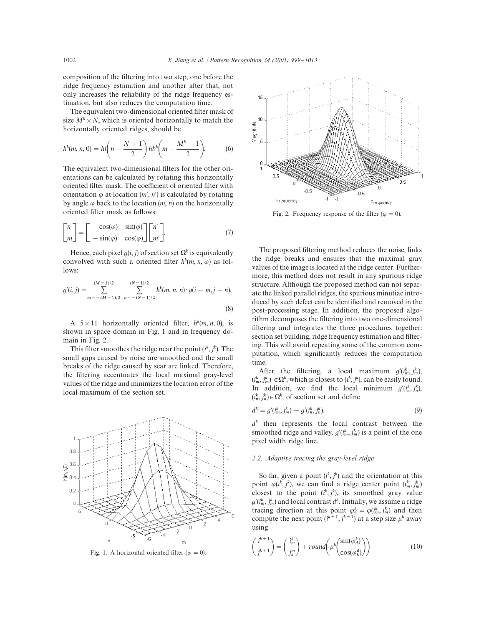composition of the filtering into two step, one before the ridge frequency estimation and another after that, not only increases the reliability of the ridge frequency estimation, but also reduces the computation time.

The equivalent two-dimensional oriented filter mask of size  $M^k \times N$ , which is oriented horizontally to match the horizontally oriented ridges, should be

$$
h^{k}(m, n, 0) = hl\left(n - \frac{N+1}{2}\right)hb^{k}\left(m - \frac{M^{k}+1}{2}\right).
$$
 (6)

The equivalent two-dimensional filters for the other orientations can be calculated by rotating this horizontally oriented filter mask. The coefficient of oriented filter with orientation  $\varphi$  at location  $(m', n')$  is calculated by rotating by angle  $\varphi$  back to the location  $(m, n)$  on the horizontally oriented filter mask as follows:

$$
\begin{bmatrix} n \\ m \end{bmatrix} = \begin{bmatrix} \cos(\varphi) & \sin(\varphi) \\ -\sin(\varphi) & \cos(\varphi) \end{bmatrix} \begin{bmatrix} n' \\ m' \end{bmatrix}.
$$
 (7)

Hence, each pixel  $g(i, j)$  of section set  $\Omega^k$  is equivalently convolved with such a oriented filter  $h^k(m, n, \varphi)$  as follows:

$$
g'(i,j) = \sum_{m = -(M-1)/2}^{(M-1)/2} \sum_{n = -(N-1)/2}^{(N-1)/2} h^k(m, n, n) \cdot g(i - m, j - n).
$$
\n(8)

A  $5 \times 11$  horizontally oriented filter,  $h^k(m, n, 0)$ , is shown in space domain in Fig. 1 and in frequency domain in Fig. 2.

This filter smoothes the ridge near the point  $(i^k, j^k)$ . The small gaps caused by noise are smoothed and the small breaks of the ridge caused by scar are linked. Therefore, the filtering accentuates the local maximal gray-level values of the ridge and minimizes the location error of the local maximum of the section set.



Fig. 1. A horizontal oriented filter ( $\varphi = 0$ ).



Fig. 2. Frequency response of the filter ( $\varphi = 0$ ).

The proposed filtering method reduces the noise, links the ridge breaks and ensures that the maximal gray values of the image is located at the ridge center. Furthermore, this method does not result in any spurious ridge structure. Although the proposed method can not separate the linked parallel ridges, the spurious minutiae introduced by such defect can be identified and removed in the post-processing stage. In addition, the proposed algorithm decomposes the filtering into two one-dimensional filtering and integrates the three procedures together: section set building, ridge frequency estimation and filtering. This will avoid repeating some of the common computation, which significantly reduces the computation time.

After the filtering, a local maximum  $g'(i^k_m, j^k_m)$ ,  $(i_m^k, j_m^k) \in \Omega^k$ , which is closest to  $(i^k, j^k)$ , can be easily found. In addition, we find the local minimum  $g'(i_n^k, j_n^k)$ ,  $(i_n^k, j_n^k) \in \Omega^k$ , of section set and define

$$
d^k = g'(i_m^k, j_m^k) - g'(i_n^k, j_n^k). \tag{9}
$$

 $d<sup>k</sup>$  then represents the local contrast between the smoothed ridge and valley.  $g'(i_m^k, j_m^k)$  is a point of the one pixel width ridge line.

# *2.2. Adapti*v*e tracing the gray-le*v*el ridge*

So far, given a point  $(i^k, j^k)$  and the orientation at this point  $\varphi(i^k, j^k)$ , we can find a ridge center point  $(i^k_m, j^k_m)$ closest to the point  $(i^k, j^k)$ , its smoothed gray value  $g'(i_m^k, j_m^k)$  and local contrast  $d^k$ . Initially, we assume a ridge tracing direction at this point  $\varphi_d^k = \varphi(i_m^k, j_m^k)$  and then compute the next point  $(i^{k+1}, j^{k+1})$  at a step size  $\mu^k$  away using

$$
\begin{pmatrix} i^{k+1} \\ j^{k+1} \end{pmatrix} = \begin{pmatrix} i_m^k \\ j_k^m \end{pmatrix} + round \left( \mu^k \begin{pmatrix} \sin(\varphi_a^k) \\ \cos(\varphi_a^d) \end{pmatrix} \right)
$$
 (10)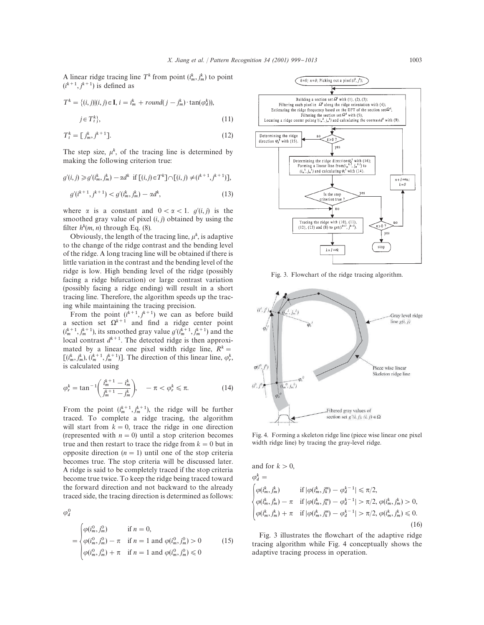A linear ridge tracing line  $T^k$  from point  $(i_m^k, j_m^k)$  to point  $(i^{k+1}, j^{k+1})$  is defined as

$$
T^{k} = \{(i,j)|(i,j) \in \mathbf{I}, i = i_m^k + round(j - j_m^k) \cdot \tan(\varphi_d^k)),
$$
  

$$
j \in T_i^k\},
$$
 (11)

$$
T_t^k = \left[\right. j_m^k, j^{k+1}\right].\tag{12}
$$

The step size,  $\mu^k$ , of the tracing line is determined by making the following criterion true:

$$
g'(i,j) \ge g'(i_m^k, j_m^k) - \alpha d^k \text{ if } [(i,j) \in T^k] \cap [(i,j) \ne (i^{k+1}, j^{k+1})],
$$

$$
g'(i^{k+1}, j^{k+1}) < g'(i^k_m, j^k_m) - \alpha d^k,\tag{13}
$$

where  $\alpha$  is a constant and  $0 < \alpha < 1$ .  $g'(i, j)$  is the smoothed gray value of pixel  $(i, j)$  obtained by using the filter  $h^k(m, n)$  through Eq. (8).

Obviously, the length of the tracing line,  $\mu^k$ , is adaptive to the change of the ridge contrast and the bending level of the ridge. A long tracing line will be obtained if there is little variation in the contrast and the bending level of the ridge is low. High bending level of the ridge (possibly facing a ridge bifurcation) or large contrast variation (possibly facing a ridge ending) will result in a short tracing line. Therefore, the algorithm speeds up the tracing while maintaining the tracing precision.

From the point  $(i^{k+1}, j^{k+1})$  we can as before build a section set  $\Omega^{k+1}$  and find a ridge center point  $(i_m^{k+1}, j_m^{k+1})$ , its smoothed gray value  $g'(i_m^{k+1}, j_m^{k+1})$  and the local contrast  $d^{k+1}$ . The detected ridge is then approximated by a linear one pixel width ridge line,  $R^k =$  $[(i_m^k, j_m^k), (i_m^{k+1}, j_m^{k+1})]$ . The direction of this linear line,  $\varphi_r^k$ , is calculated using

$$
\varphi_r^k = \tan^{-1} \bigg( \frac{i_m^{k+1} - i_m^k}{j_m^{k+1} - j_m^k} \bigg), \quad -\pi < \varphi_r^k \leq \pi. \tag{14}
$$

From the point  $(i_m^{k+1}, j_m^{k+1})$ , the ridge will be further traced. To complete a ridge tracing, the algorithm will start from  $k = 0$ , trace the ridge in one direction (represented with  $n = 0$ ) until a stop criterion becomes true and then restart to trace the ridge from  $k = 0$  but in opposite direction  $(n = 1)$  until one of the stop criteria becomes true. The stop criteria will be discussed later. A ridge is said to be completely traced if the stop criteria become true twice. To keep the ridge being traced toward the forward direction and not backward to the already traced side, the tracing direction is determined as follows:

 $\varphi_d^0$ 

$$
= \begin{cases} \varphi(i_m^0, j_m^0) & \text{if } n = 0, \\ \varphi(i_m^0, j_m^0) - \pi & \text{if } n = 1 \text{ and } \varphi(i_m^0, j_m^0) > 0 \\ \varphi(i_m^0, j_m^0) + \pi & \text{if } n = 1 \text{ and } \varphi(i_m^0, j_m^0) \le 0 \end{cases}
$$
(15)



Fig. 3. Flowchart of the ridge tracing algorithm.



Fig. 4. Forming a skeleton ridge line (piece wise linear one pixel width ridge line) by tracing the gray-level ridge.

and for  $k > 0$ ,  $\varphi_d^k =$  $\Bigg)$  $\varphi(i_m^k, j_m^k)$  if  $|\varphi(i_m^k, j_k^m) - \varphi_d^{k-1}| \le \pi/2$ ,  $\varphi(i_m^k, j_m^k) - \pi \quad \text{if } |\varphi(i_m^k, j_k^m) - \varphi_d^{k-1}| > \pi/2, \varphi(i_m^k, j_m^k) > 0,$  $\varphi(i_m^k, j_m^k) + \pi \quad \text{if } |\varphi(i_m^k, j_k^m) - \varphi_d^{k-1}| > \pi/2, \varphi(i_m^k, j_m^k) \leq 0.$ (16)

Fig. 3 illustrates the flowchart of the adaptive ridge tracing algorithm while Fig. 4 conceptually shows the adaptive tracing process in operation.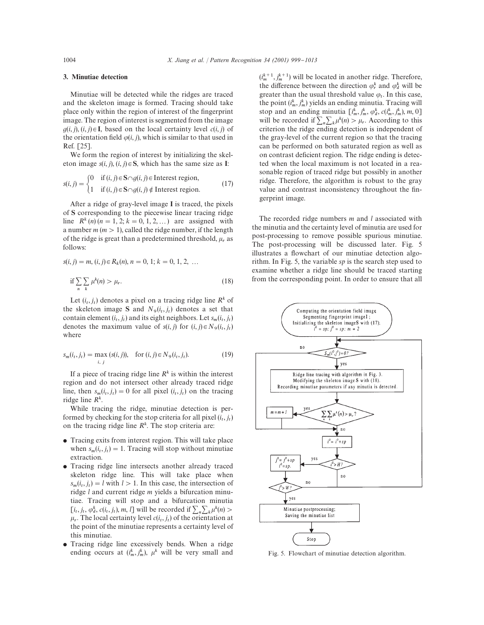# 3. Minutiae detection

Minutiae will be detected while the ridges are traced and the skeleton image is formed. Tracing should take place only within the region of interest of the fingerprint image. The region of interest is segmented from the image  $g(i, j), (i, j) \in \mathbf{I}$ , based on the local certainty level  $c(i, j)$  of the orientation field  $\varphi(i, j)$ , which is similar to that used in Ref. [25].

We form the region of interest by initializing the skeleton image  $s(i, j), (i, j) \in S$ , which has the same size as I:

$$
s(i, j) = \begin{cases} 0 & \text{if } (i, j) \in S \cap g(i, j) \in \text{Interest region,} \\ 1 & \text{if } (i, j) \in S \cap g(i, j) \notin \text{Interest region.} \end{cases} \tag{17}
$$

After a ridge of gray-level image I is traced, the pixels of S corresponding to the piecewise linear tracing ridge line  $R^k(n)$   $(n = 1, 2; k = 0, 1, 2, ...)$  are assigned with a number  $m (m > 1)$ , called the ridge number, if the length of the ridge is great than a predetermined threshold,  $\mu_r$  as follows:

$$
s(i, j) = m, (i, j) \in R_k(n), n = 0, 1; k = 0, 1, 2, ...
$$
  
if 
$$
\sum_{n} \sum_{k} \mu^{k}(n) > \mu_r.
$$
 (18)

Let  $(i_t, j_t)$  denotes a pixel on a tracing ridge line  $R^k$  of the skeleton image S and  $N_9(i_t, j_t)$  denotes a set that contain element  $(i_t, j_t)$  and its eight neighbors. Let  $s_m(i_t, j_t)$ denotes the maximum value of  $s(i, j)$  for  $(i, j) \in N_9(i_t, j_t)$ where

$$
s_m(i_t, j_t) = \max_{i, j} (s(i, j)), \quad \text{for } (i, j) \in N_9(i_t, j_t). \tag{19}
$$

If a piece of tracing ridge line  $R<sup>k</sup>$  is within the interest region and do not intersect other already traced ridge line, then  $s_m(i_t, j_t) = 0$  for all pixel  $(i_t, j_t)$  on the tracing ridge line  $R^k$ .

While tracing the ridge, minutiae detection is performed by checking for the stop criteria for all pixel  $(i_t, j_t)$ on the tracing ridge line  $R<sup>k</sup>$ . The stop criteria are:

- Tracing exits from interest region. This will take place when  $s_m(i_t, j_t) = 1$ . Tracing will stop without minutiae extraction.
- Tracing ridge line intersects another already traced skeleton ridge line. This will take place when  $s_m(i_t, j_t) = l$  with  $l > 1$ . In this case, the intersection of ridge  $l$  and current ridge  $m$  yields a bifurcation minutiae. Tracing will stop and a bifurcation minutia  $[i_t, j_t, \varphi_d^k, c(i_t, j_t), m, l]$  will be recorded if  $\sum_n \sum_k \mu^k(n) >$  $\mu_r$ . The local certainty level  $c(i_t, j_t)$  of the orientation at the point of the minutiae represents a certainty level of this minutiae.
- Tracing ridge line excessively bends. When a ridge ending occurs at  $(i_m^k, j_m^k)$ ,  $\mu^k$  will be very small and

 $(i_m^{k+1}, j_m^{k+1})$  will be located in another ridge. Therefore, the difference between the direction  $\varphi_r^k$  and  $\varphi_d^k$  will be greater than the usual threshold value  $\varphi_t$ . In this case, the point  $(i_m^k, j_m^k)$  yields an ending minutia. Tracing will stop and an ending minutia  $\left[i_m^k, j_m^k, \varphi_d^k, c(i_m^k, j_m^k), m, 0\right]$ stop and an ending minutia  $\left[\prod_{m}$ ,  $\prod_{m}$ ,  $\varphi_a$ ,  $c(\overline{\tau}_m, \overline{\tau}_m)$ ,  $m$ ,  $0 \right]$ <br>will be recorded if  $\sum_{n} \sum_{k} \mu^k(n) > \mu_r$ . According to this criterion the ridge ending detection is independent of the gray-level of the current region so that the tracing can be performed on both saturated region as well as on contrast deficient region. The ridge ending is detected when the local maximum is not located in a reasonable region of traced ridge but possibly in another ridge. Therefore, the algorithm is robust to the gray value and contrast inconsistency throughout the fingerprint image.

The recorded ridge numbers  $m$  and  $l$  associated with the minutia and the certainty level of minutia are used for post-processing to remove possible spurious minutiae. The post-processing will be discussed later. Fig. 5 illustrates a flowchart of our minutiae detection algorithm. In Fig. 5, the variable sp is the search step used to examine whether a ridge line should be traced starting from the corresponding point. In order to ensure that all



Fig. 5. Flowchart of minutiae detection algorithm.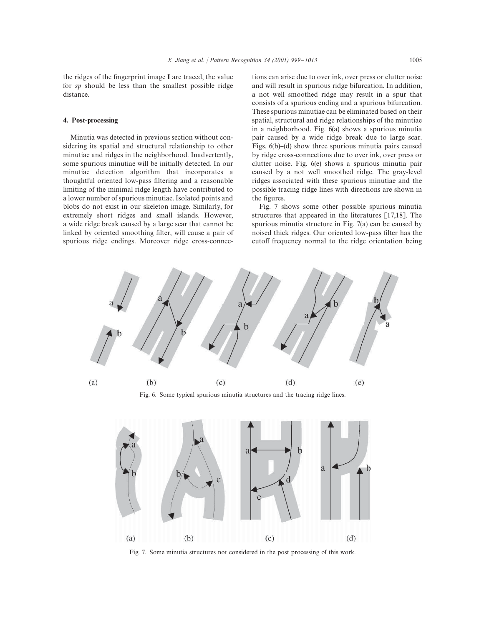the ridges of the fingerprint image  $I$  are traced, the value for sp should be less than the smallest possible ridge distance.

#### 4. Post-processing

Minutia was detected in previous section without considering its spatial and structural relationship to other minutiae and ridges in the neighborhood. Inadvertently, some spurious minutiae will be initially detected. In our minutiae detection algorithm that incorporates a thoughtful oriented low-pass filtering and a reasonable limiting of the minimal ridge length have contributed to a lower number of spurious minutiae. Isolated points and blobs do not exist in our skeleton image. Similarly, for extremely short ridges and small islands. However, a wide ridge break caused by a large scar that cannot be linked by oriented smoothing filter, will cause a pair of spurious ridge endings. Moreover ridge cross-connections can arise due to over ink, over press or clutter noise and will result in spurious ridge bifurcation. In addition, a not well smoothed ridge may result in a spur that consists of a spurious ending and a spurious bifurcation. These spurious minutiae can be eliminated based on their spatial, structural and ridge relationships of the minutiae in a neighborhood. Fig. 6(a) shows a spurious minutia pair caused by a wide ridge break due to large scar. Figs.  $6(b)$ – $(d)$  show three spurious minutia pairs caused by ridge cross-connections due to over ink, over press or clutter noise. Fig. 6(e) shows a spurious minutia pair caused by a not well smoothed ridge. The gray-level ridges associated with these spurious minutiae and the possible tracing ridge lines with directions are shown in the figures.

Fig. 7 shows some other possible spurious minutia structures that appeared in the literatures [17,18]. The spurious minutia structure in Fig. 7(a) can be caused by noised thick ridges. Our oriented low-pass filter has the cutoff frequency normal to the ridge orientation being



Fig. 6. Some typical spurious minutia structures and the tracing ridge lines.



Fig. 7. Some minutia structures not considered in the post processing of this work.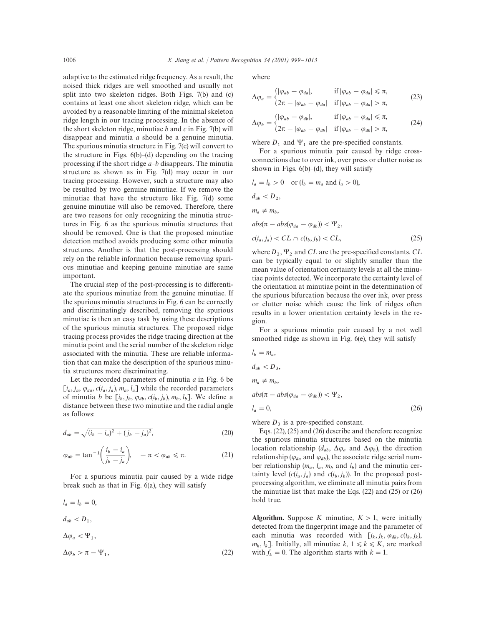adaptive to the estimated ridge frequency. As a result, the noised thick ridges are well smoothed and usually not split into two skeleton ridges. Both Figs. 7(b) and (c) contains at least one short skeleton ridge, which can be avoided by a reasonable limiting of the minimal skeleton ridge length in our tracing processing. In the absence of the short skeleton ridge, minutiae  $b$  and  $c$  in Fig. 7(b) will disappear and minutia a should be a genuine minutia. The spurious minutia structure in Fig. 7(c) will convert to the structure in Figs.  $6(b)$ – $(d)$  depending on the tracing processing if the short ridge  $a-b$  disappears. The minutia structure as shown as in Fig. 7(d) may occur in our tracing processing. However, such a structure may also be resulted by two genuine minutiae. If we remove the minutiae that have the structure like Fig. 7(d) some genuine minutiae will also be removed. Therefore, there are two reasons for only recognizing the minutia structures in Fig. 6 as the spurious minutia structures that should be removed. One is that the proposed minutiae detection method avoids producing some other minutia structures. Another is that the post-processing should rely on the reliable information because removing spurious minutiae and keeping genuine minutiae are same important.

The crucial step of the post-processing is to differentiate the spurious minutiae from the genuine minutiae. If the spurious minutia structures in Fig. 6 can be correctly and discriminatingly described, removing the spurious minutiae is then an easy task by using these descriptions of the spurious minutia structures. The proposed ridge tracing process provides the ridge tracing direction at the minutia point and the serial number of the skeleton ridge associated with the minutia. These are reliable information that can make the description of the spurious minutia structures more discriminating.

Let the recorded parameters of minutia  $a$  in Fig. 6 be  $[i_a, j_a, \varphi_{da}, c(i_a, j_a), m_a, l_a]$  while the recorded parameters of minutia b be  $[i_b, j_b, \varphi_{db}, c(i_b, j_b), m_b, l_b]$ . We define a distance between these two minutiae and the radial angle as follows:

$$
d_{ab} = \sqrt{(i_b - i_a)^2 + (j_b - j_a)^2},\tag{20}
$$

$$
\varphi_{ab} = \tan^{-1}\left(\frac{i_b - i_a}{j_b - j_a}\right), \quad -\pi < \varphi_{ab} \leq \pi. \tag{21}
$$

For a spurious minutia pair caused by a wide ridge break such as that in Fig. 6(a), they will satisfy

$$
l_a = l_b = 0,
$$
  
\n
$$
d_{ab} < D_1,
$$
  
\n
$$
\Delta \varphi_a < \Psi_1,
$$
  
\n
$$
\Delta \varphi_b > \pi - \Psi_1,
$$
\n(22)

where

$$
\Delta \varphi_a = \begin{cases} |\varphi_{ab} - \varphi_{da}|, & \text{if } |\varphi_{ab} - \varphi_{da}| \le \pi, \\ 2\pi - |\varphi_{ab} - \varphi_{da}| & \text{if } |\varphi_{ab} - \varphi_{da}| > \pi, \end{cases}
$$
(23)

$$
\Delta \varphi_b = \begin{cases} |\varphi_{ab} - \varphi_{db}|, & \text{if } |\varphi_{ab} - \varphi_{da}| \leq \pi, \\ 2\pi - |\varphi_{ab} - \varphi_{db}| & \text{if } |\varphi_{ab} - \varphi_{db}| > \pi, \end{cases}
$$
(24)

where  $D_1$  and  $\Psi_1$  are the pre-specified constants.

For a spurious minutia pair caused by ridge crossconnections due to over ink, over press or clutter noise as shown in Figs.  $6(b)$ – $(d)$ , they will satisfy

$$
l_a = l_b > 0 \quad \text{or } (l_b = m_a \text{ and } l_a > 0),
$$
\n
$$
d_{ab} < D_2,
$$
\n
$$
m_a \neq m_b,
$$
\n
$$
abs(\pi - abs(\varphi_{da} - \varphi_{db})) < \Psi_2,
$$
\n
$$
c(i_a, j_a) < CL \cap c(i_b, j_b) < CL,
$$
\nwhere  $D_2$ ,  $\Psi_2$  and  $CL$  are the pre-specified constants,  $CL$ 

where  $D_2$ ,  $\Psi_2$  and CL are the pre-specified constants. CL can be typically equal to or slightly smaller than the mean value of orientation certainty levels at all the minutiae points detected. We incorporate the certainty level of the orientation at minutiae point in the determination of the spurious bifurcation because the over ink, over press or clutter noise which cause the link of ridges often results in a lower orientation certainty levels in the region.

For a spurious minutia pair caused by a not well smoothed ridge as shown in Fig. 6(e), they will satisfy

$$
l_b = m_a,
$$
  
\n
$$
d_{ab} < D_3,
$$
  
\n
$$
m_a \neq m_b,
$$

 $abs(\pi - abs(\varphi_{da} - \varphi_{db})) < \Psi_2,$  $l_a$  $= 0,$  (26)

where  $D_3$  is a pre-specified constant.

Eqs. (22), (25) and (26) describe and therefore recognize the spurious minutia structures based on the minutia location relationship ( $d_{ab}$ ,  $\Delta \varphi_a$  and  $\Delta \varphi_b$ ), the direction relationship ( $\varphi_{da}$  and  $\varphi_{db}$ ), the associate ridge serial number relationship  $(m_a, l_a, m_b$  and  $l_b)$  and the minutia certainty level  $(c(i_a, j_a)$  and  $c(i_b, j_b))$ . In the proposed post- processing algorithm, we eliminate all minutia pairs from the minutiae list that make the Eqs. (22) and (25) or (26) hold true.

Algorithm. Suppose K minutiae,  $K > 1$ , were initially detected from the fingerprint image and the parameter of each minutia was recorded with  $[i_k, j_k, \varphi_{dk}, c(i_k, j_k)]$  $m_k, l_k$ ]. Initially, all minutiae  $k, 1 \leq k \leq K$ , are marked with  $f_k = 0$ . The algorithm starts with  $k = 1$ .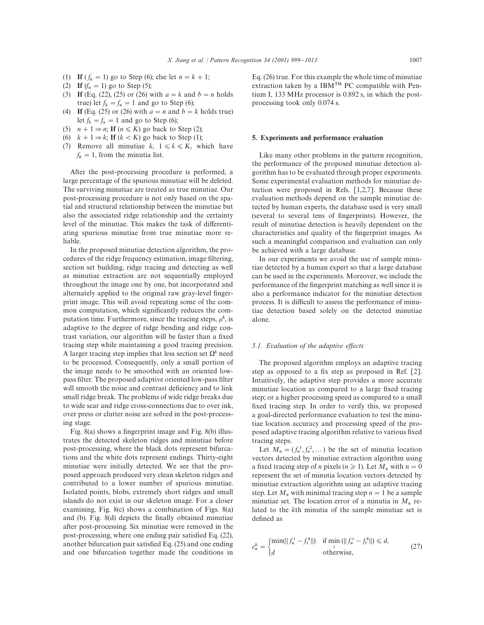- (1) If  $(f_k = 1)$  go to Step (6); else let  $n = k + 1$ ;
- (2) If  $(f_n = 1)$  go to Step (5);
- (3) If (Eq. (22), (25) or (26) with  $a = k$  and  $b = n$  holds true) let  $f_k = f_n = 1$  and go to Step (6);
- (4) If (Eq. (25) or (26) with  $a = n$  and  $b = k$  holds true) let  $f_k = f_n = 1$  and go to Step (6);
- (5)  $n + 1 \Rightarrow n$ ; If  $(n \le K)$  go back to Step (2);
- (6)  $k + 1 \Rightarrow k$ ; If  $(k < K)$  go back to Step (1);
- (7) Remove all minutiae  $k, 1 \le k \le K$ , which have  $f_k = 1$ , from the minutia list.

After the post-processing procedure is performed, a large percentage of the spurious minutiae will be deleted. The surviving minutiae are treated as true minutiae. Our post-processing procedure is not only based on the spatial and structural relationship between the minutiae but also the associated ridge relationship and the certainty level of the minutiae. This makes the task of differentiating spurious minutiae from true minutiae more reliable.

In the proposed minutiae detection algorithm, the procedures of the ridge frequency estimation, image filtering, section set building, ridge tracing and detecting as well as minutiae extraction are not sequentially employed throughout the image one by one, but incorporated and alternately applied to the original raw gray-level fingerprint image. This will avoid repeating some of the common computation, which significantly reduces the computation time. Furthermore, since the tracing steps,  $\mu^k$ , is adaptive to the degree of ridge bending and ridge contrast variation, our algorithm will be faster than a fixed tracing step while maintaining a good tracing precision. A larger tracing step implies that less section set  $\Omega^k$  need to be processed. Consequently, only a small portion of the image needs to be smoothed with an oriented lowpass filter. The proposed adaptive oriented low-pass filter will smooth the noise and contrast deficiency and to link small ridge break. The problems of wide ridge breaks due to wide scar and ridge cross-connections due to over ink, over press or clutter noise are solved in the post-processing stage.

Fig.  $8(a)$  shows a fingerprint image and Fig.  $8(b)$  illustrates the detected skeleton ridges and minutiae before post-processing, where the black dots represent bifurcations and the white dots represent endings. Thirty-eight minutiae were initially detected. We see that the proposed approach produced very clean skeleton ridges and contributed to a lower number of spurious minutiae. Isolated points, blobs, extremely short ridges and small islands do not exist in our skeleton image. For a closer examining, Fig. 8(c) shows a combination of Figs. 8(a) and (b). Fig.  $8(d)$  depicts the finally obtained minutiae after post-processing. Six minutiae were removed in the post-processing, where one ending pair satisfied Eq.  $(22)$ , another bifurcation pair satisfied Eq.  $(25)$  and one ending and one bifurcation together made the conditions in Eq. (26) true. For this example the whole time of minutiae extraction taken by a IBM<sup>TM</sup> PC compatible with Pentium I, 133 MHz processor is 0.892 s, in which the postprocessing took only 0.074 s.

# 5. Experiments and performance evaluation

Like many other problems in the pattern recognition, the performance of the proposed minutiae detection algorithm has to be evaluated through proper experiments. Some experimental evaluation methods for minutiae detection were proposed in Refs. [1,2,7]. Because these evaluation methods depend on the sample minutiae detected by human experts, the database used is very small (several to several tens of fingerprints). However, the result of minutiae detection is heavily dependent on the characteristics and quality of the fingerprint images. As such a meaningful comparison and evaluation can only be achieved with a large database.

In our experiments we avoid the use of sample minutiae detected by a human expert so that a large database can be used in the experiments. Moreover, we include the performance of the fingerprint matching as well since it is also a performance indicator for the minutiae detection process. It is difficult to assess the performance of minutiae detection based solely on the detected minutiae alone.

#### *5.1. Evaluation of the adaptive effects*

The proposed algorithm employs an adaptive tracing step as opposed to a fix step as proposed in Ref.  $[2]$ . Intuitively, the adaptive step provides a more accurate minutiae location as compared to a large fixed tracing step; or a higher processing speed as compared to a small fixed tracing step. In order to verify this, we proposed a goal-directed performance evaluation to test the minutiae location accuracy and processing speed of the proposed adaptive tracing algorithm relative to various fixed tracing steps.

Let  $M_n = (f_n^1, f_n^2, ...)$  be the set of minutia location vectors detected by minutiae extraction algorithm using a fixed tracing step of *n* pixels ( $n \ge 1$ ). Let  $M_n$  with  $n = 0$ represent the set of minutia location vectors detected by minutiae extraction algorithm using an adaptive tracing step. Let  $M_n$  with minimal tracing step  $n = 1$  be a sample minutiae set. The location error of a minutia in  $M_n$  related to the kth minutia of the sample minutiae set is defined as

$$
e_n^k = \begin{cases} \min(||f_n^i - f_l^k||) & \text{if } \min_i (||f_n^i - f_l^k||) \le d, \\ d & \text{otherwise,} \end{cases} \tag{27}
$$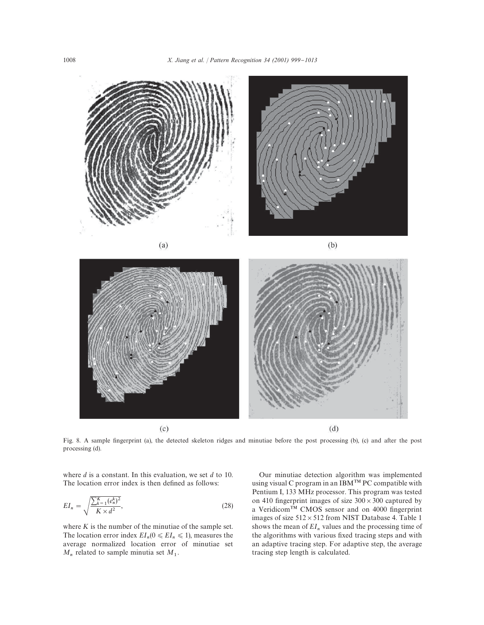

Fig. 8. A sample fingerprint (a), the detected skeleton ridges and minutiae before the post processing (b), (c) and after the post processing (d).

where  $d$  is a constant. In this evaluation, we set  $d$  to 10. The location error index is then defined as follows:

$$
EI_n = \sqrt{\frac{\sum_{k=1}^{K} (e_n^k)^2}{K \times d^2}},
$$
\n(28)

where  $K$  is the number of the minutiae of the sample set. The location error index  $EI_n(0 \leq EI_n \leq 1)$ , measures the average normalized location error of minutiae set  $M_n$  related to sample minutia set  $M_1$ .

Our minutiae detection algorithm was implemented using visual C program in an IBM PC compatible with Pentium I, 133 MHz processor. This program was tested on 410 fingerprint images of size  $300 \times 300$  captured by a Veridicom<sup>TM</sup> CMOS sensor and on 4000 fingerprint images of size  $512 \times 512$  from NIST Database 4. Table 1 shows the mean of  $EI_n$  values and the processing time of the algorithms with various fixed tracing steps and with an adaptive tracing step. For adaptive step, the average tracing step length is calculated.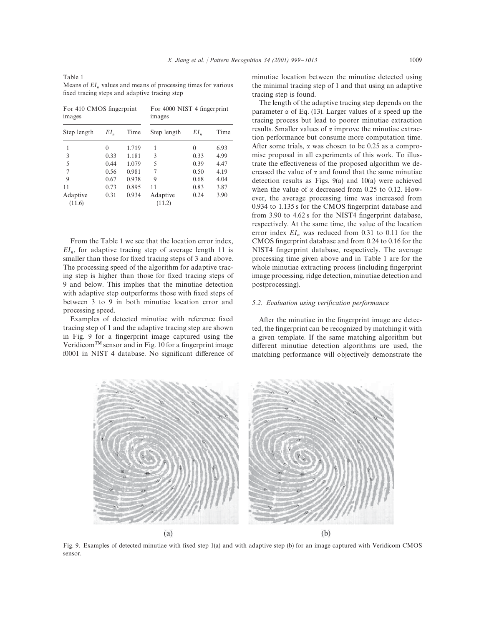Table 1 Means of  $EI_n$  values and means of processing times for various fixed tracing steps and adaptive tracing step

| For 410 CMOS fingerprint<br>images |        |       | For 4000 NIST 4 fingerprint<br>images |        |      |
|------------------------------------|--------|-------|---------------------------------------|--------|------|
| Step length                        | $EI_n$ | Time  | Step length                           | $EI_n$ | Time |
| 1                                  | 0      | 1.719 | 1                                     | 0      | 6.93 |
| 3                                  | 0.33   | 1.181 | 3                                     | 0.33   | 4.99 |
| 5                                  | 0.44   | 1.079 | 5                                     | 0.39   | 4.47 |
| $\overline{7}$                     | 0.56   | 0.981 | 7                                     | 0.50   | 4.19 |
| 9                                  | 0.67   | 0.938 | 9                                     | 0.68   | 4.04 |
| 11                                 | 0.73   | 0.895 | 11                                    | 0.83   | 3.87 |
| Adaptive<br>(11.6)                 | 0.31   | 0.934 | Adaptive<br>(11.2)                    | 0.24   | 3.90 |

From the Table 1 we see that the location error index,  $EI_n$ , for adaptive tracing step of average length 11 is smaller than those for fixed tracing steps of 3 and above. The processing speed of the algorithm for adaptive tracing step is higher than those for fixed tracing steps of 9 and below. This implies that the minutiae detection with adaptive step outperforms those with fixed steps of between 3 to 9 in both minutiae location error and processing speed.

Examples of detected minutiae with reference fixed tracing step of 1 and the adaptive tracing step are shown in Fig. 9 for a fingerprint image captured using the Veridicom<sup>TM</sup> sensor and in Fig. 10 for a fingerprint image f0001 in NIST 4 database. No significant difference of minutiae location between the minutiae detected using the minimal tracing step of 1 and that using an adaptive tracing step is found.

The length of the adaptive tracing step depends on the parameter  $\alpha$  of Eq. (13). Larger values of  $\alpha$  speed up the tracing process but lead to poorer minutiae extraction results. Smaller values of  $\alpha$  improve the minutiae extraction performance but consume more computation time. After some trials,  $\alpha$  was chosen to be 0.25 as a compromise proposal in all experiments of this work. To illustrate the effectiveness of the proposed algorithm we decreased the value of  $\alpha$  and found that the same minutiae detection results as Figs. 9(a) and 10(a) were achieved when the value of  $\alpha$  decreased from 0.25 to 0.12. However, the average processing time was increased from  $0.934$  to  $1.135$  s for the CMOS fingerprint database and from 3.90 to  $4.62$  s for the NIST4 fingerprint database, respectively. At the same time, the value of the location error index  $EI_n$  was reduced from 0.31 to 0.11 for the CMOS fingerprint database and from  $0.24$  to  $0.16$  for the NIST4 fingerprint database, respectively. The average processing time given above and in Table 1 are for the whole minutiae extracting process (including fingerprint image processing, ridge detection, minutiae detection and postprocessing).

### *5.2. Evaluation using verification performance*

After the minutiae in the fingerprint image are detected, the fingerprint can be recognized by matching it with a given template. If the same matching algorithm but different minutiae detection algorithms are used, the matching performance will objectively demonstrate the



Fig. 9. Examples of detected minutiae with fixed step 1(a) and with adaptive step (b) for an image captured with Veridicom CMOS sensor.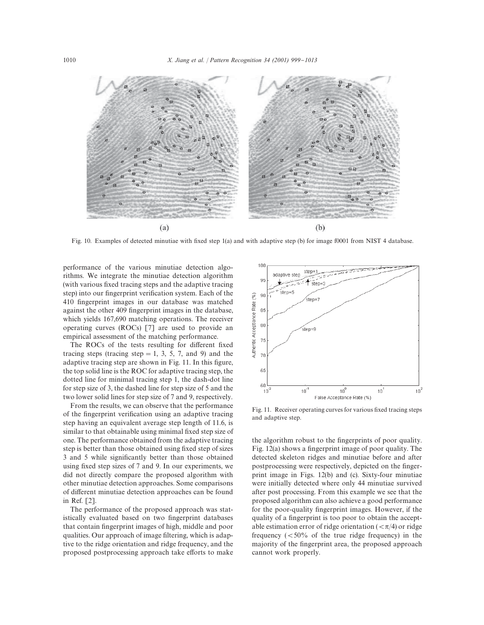

Fig. 10. Examples of detected minutiae with fixed step 1(a) and with adaptive step (b) for image f0001 from NIST 4 database.

performance of the various minutiae detection algorithms. We integrate the minutiae detection algorithm (with various fixed tracing steps and the adaptive tracing step) into our fingerprint verification system. Each of the 410 fingerprint images in our database was matched against the other 409 fingerprint images in the database, which yields 167,690 matching operations. The receiver operating curves (ROCs) [7] are used to provide an empirical assessment of the matching performance.

The ROCs of the tests resulting for different fixed tracing steps (tracing step  $= 1, 3, 5, 7,$  and 9) and the adaptive tracing step are shown in Fig. 11. In this figure, the top solid line is the ROC for adaptive tracing step, the dotted line for minimal tracing step 1, the dash-dot line for step size of 3, the dashed line for step size of 5 and the two lower solid lines for step size of 7 and 9, respectively.

From the results, we can observe that the performance of the fingerprint verification using an adaptive tracing step having an equivalent average step length of 11.6, is similar to that obtainable using minimal fixed step size of one. The performance obtained from the adaptive tracing step is better than those obtained using fixed step of sizes 3 and 5 while significantly better than those obtained using fixed step sizes of 7 and 9. In our experiments, we did not directly compare the proposed algorithm with other minutiae detection approaches. Some comparisons of different minutiae detection approaches can be found in Ref. [2].

The performance of the proposed approach was statistically evaluated based on two fingerprint databases that contain fingerprint images of high, middle and poor qualities. Our approach of image filtering, which is adaptive to the ridge orientation and ridge frequency, and the proposed postprocessing approach take efforts to make



Fig. 11. Receiver operating curves for various fixed tracing steps and adaptive step.

the algorithm robust to the fingerprints of poor quality. Fig.  $12(a)$  shows a fingerprint image of poor quality. The detected skeleton ridges and minutiae before and after postprocessing were respectively, depicted on the fingerprint image in Figs. 12(b) and (c). Sixty-four minutiae were initially detected where only 44 minutiae survived after post processing. From this example we see that the proposed algorithm can also achieve a good performance for the poor-quality fingerprint images. However, if the quality of a fingerprint is too poor to obtain the acceptable estimation error of ridge orientation ( $<\pi/4$ ) or ridge frequency  $(<50\%$  of the true ridge frequency) in the majority of the fingerprint area, the proposed approach cannot work properly.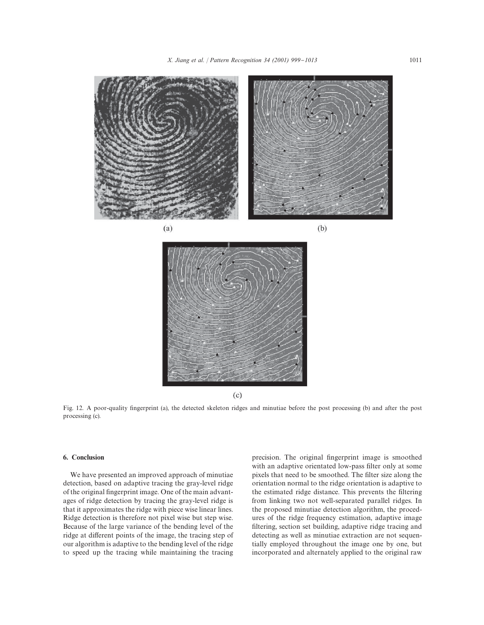



 $(c)$ 

Fig. 12. A poor-quality fingerprint (a), the detected skeleton ridges and minutiae before the post processing (b) and after the post processing (c).

# 6. Conclusion

We have presented an improved approach of minutiae detection, based on adaptive tracing the gray-level ridge of the original fingerprint image. One of the main advantages of ridge detection by tracing the gray-level ridge is that it approximates the ridge with piece wise linear lines. Ridge detection is therefore not pixel wise but step wise. Because of the large variance of the bending level of the ridge at different points of the image, the tracing step of our algorithm is adaptive to the bending level of the ridge to speed up the tracing while maintaining the tracing precision. The original fingerprint image is smoothed with an adaptive orientated low-pass filter only at some pixels that need to be smoothed. The filter size along the orientation normal to the ridge orientation is adaptive to the estimated ridge distance. This prevents the filtering from linking two not well-separated parallel ridges. In the proposed minutiae detection algorithm, the procedures of the ridge frequency estimation, adaptive image filtering, section set building, adaptive ridge tracing and detecting as well as minutiae extraction are not sequentially employed throughout the image one by one, but incorporated and alternately applied to the original raw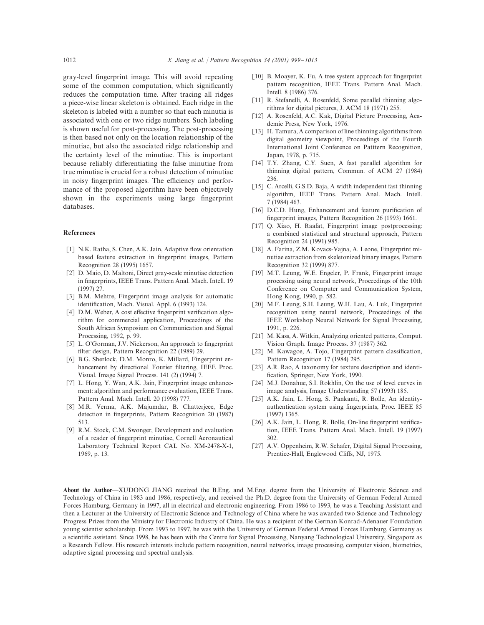gray-level fingerprint image. This will avoid repeating some of the common computation, which significantly reduces the computation time. After tracing all ridges a piece-wise linear skeleton is obtained. Each ridge in the skeleton is labeled with a number so that each minutia is associated with one or two ridge numbers. Such labeling is shown useful for post-processing. The post-processing is then based not only on the location relationship of the minutiae, but also the associated ridge relationship and the certainty level of the minutiae. This is important because reliably differentiating the false minutiae from true minutiae is crucial for a robust detection of minutiae in noisy fingerprint images. The efficiency and performance of the proposed algorithm have been objectively shown in the experiments using large fingerprint databases.

#### References

- [1] N.K. Ratha, S. Chen, A.K. Jain, Adaptive flow orientation based feature extraction in fingerprint images, Pattern Recognition 28 (1995) 1657.
- [2] D. Maio, D. Maltoni, Direct gray-scale minutiae detection in fingerprints, IEEE Trans. Pattern Anal. Mach. Intell. 19 (1997) 27.
- [3] B.M. Mehtre, Fingerprint image analysis for automatic identification, Mach. Visual. Appl. 6 (1993) 124.
- [4] D.M. Weber, A cost effective fingerprint verification algorithm for commercial application, Proceedings of the South African Symposium on Communication and Signal Processing, 1992, p. 99.
- [5] L. O'Gorman, J.V. Nickerson, An approach to fingerprint filter design, Pattern Recognition 22 (1989) 29.
- [6] B.G. Sherlock, D.M. Monro, K. Millard, Fingerprint enhancement by directional Fourier filtering, IEEE Proc. Visual. Image Signal Process. 141 (2) (1994) 7.
- [7] L. Hong, Y. Wan, A.K. Jain, Fingerprint image enhancement: algorithm and performance evaluation, IEEE Trans. Pattern Anal. Mach. Intell. 20 (1998) 777.
- [8] M.R. Verma, A.K. Majumdar, B. Chatterjeee, Edge detection in fingerprints, Pattern Recognition 20 (1987) 513.
- [9] R.M. Stock, C.M. Swonger, Development and evaluation of a reader of fingerprint minutiae, Cornell Aeronautical Laboratory Technical Report CAL No. XM-2478-X-1, 1969, p. 13.
- [10] B. Moayer, K. Fu, A tree system approach for fingerprint pattern recognition, IEEE Trans. Pattern Anal. Mach. Intell. 8 (1986) 376.
- [11] R. Stefanelli, A. Rosenfeld, Some parallel thinning algorithms for digital pictures, J. ACM 18 (1971) 255.
- [12] A. Rosenfeld, A.C. Kak, Digital Picture Processing, Academic Press, New York, 1976.
- [13] H. Tamura, A comparison of line thinning algorithms from digital geometry viewpoint, Proceedings of the Fourth International Joint Conference on Patttern Recognition, Japan, 1978, p. 715.
- [14] T.Y. Zhang, C.Y. Suen, A fast parallel algorithm for thinning digital pattern, Commun. of ACM 27 (1984) 236.
- [15] C. Arcelli, G.S.D. Baja, A width independent fast thinning algorithm, IEEE Trans. Pattern Anal. Mach. Intell. 7 (1984) 463.
- [16] D.C.D. Hung, Enhancement and feature purification of fingerprint images, Pattern Recognition 26 (1993) 1661.
- [17] Q. Xiao, H. Raafat, Fingerprint image postprocessing: a combined statistical and structural approach, Pattern Recognition 24 (1991) 985.
- [18] A. Farina, Z.M. Kovacs-Vajna, A. Leone, Fingerprint minutiae extraction from skeletonized binary images, Pattern Recognition 32 (1999) 877.
- [19] M.T. Leung, W.E. Engeler, P. Frank, Fingerprint image processing using neural network, Proceedings of the 10th Conference on Computer and Communication System, Hong Kong, 1990, p. 582.
- [20] M.F. Leung, S.H. Leung, W.H. Lau, A. Luk, Fingerprint recognition using neural network, Proceedings of the IEEE Workshop Neural Network for Signal Processing, 1991, p. 226.
- [21] M. Kass, A. Witkin, Analyzing oriented patterns, Comput. Vision Graph. Image Process. 37 (1987) 362.
- [22] M. Kawagoe, A. Tojo, Fingerprint pattern classification, Pattern Recognition 17 (1984) 295.
- [23] A.R. Rao, A taxonomy for texture description and identification, Springer, New York, 1990.
- [24] M.J. Donahue, S.I. Rokhlin, On the use of level curves in image analysis, Image Understanding 57 (1993) 185.
- [25] A.K. Jain, L. Hong, S. Pankanti, R. Bolle, An identityauthentication system using fingerprints, Proc. IEEE 85 (1997) 1365.
- [26] A.K. Jain, L. Hong, R. Bolle, On-line fingerprint verification, IEEE Trans. Pattern Anal. Mach. Intell. 19 (1997) 302.
- [27] A.V. Oppenheim, R.W. Schafer, Digital Signal Processing, Prentice-Hall, Englewood Cliffs, NJ, 1975.

About the Author-XUDONG JIANG received the B.Eng. and M.Eng. degree from the University of Electronic Science and Technology of China in 1983 and 1986, respectively, and received the Ph.D. degree from the University of German Federal Armed Forces Hamburg, Germany in 1997, all in electrical and electronic engineering. From 1986 to 1993, he was a Teaching Assistant and then a Lecturer at the University of Electronic Science and Technology of China where he was awarded two Science and Technology Progress Prizes from the Ministry for Electronic Industry of China. He was a recipient of the German Konrad-Adenauer Foundation young scientist scholarship. From 1993 to 1997, he was with the University of German Federal Armed Forces Hamburg, Germany as a scientific assistant. Since 1998, he has been with the Centre for Signal Processing, Nanyang Technological University, Singapore as a Research Fellow. His research interests include pattern recognition, neural networks, image processing, computer vision, biometrics, adaptive signal processing and spectral analysis.